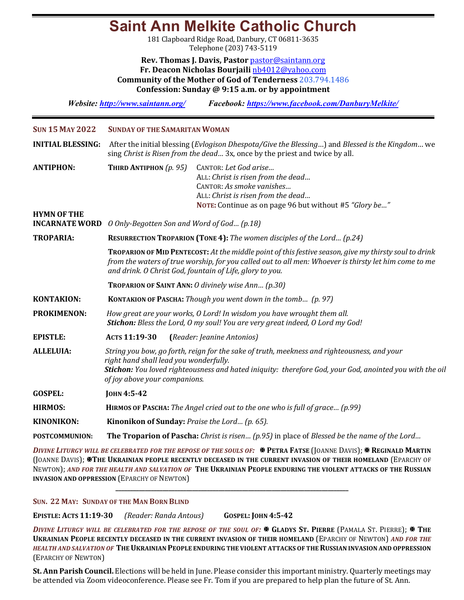## **Saint Ann Melkite Catholic Church**

181 Clapboard Ridge Road, Danbury, CT 06811-3635 Telephone (203) 743-5119

**Rev. Thomas J. Davis, Pastor** pastor@saintann.org **Fr. Deacon Nicholas Bourjaili** nb4012@yahoo.com **Community of the Mother of God of Tenderness** 203.794.1486 **Confession: Sunday @ 9:15 a.m. or by appointment**

*Website: http://www.saintann.org/ Facebook: https://www.facebook.com/DanburyMelkite/* 

| <b>SUN 15 MAY 2022</b>   | <b>SUNDAY OF THE SAMARITAN WOMAN</b>                                                                                                                                                                                                                                              |  |  |  |
|--------------------------|-----------------------------------------------------------------------------------------------------------------------------------------------------------------------------------------------------------------------------------------------------------------------------------|--|--|--|
| <b>INITIAL BLESSING:</b> | After the initial blessing (Evlogison Dhespota/Give the Blessing) and Blessed is the Kingdom we<br>sing Christ is Risen from the dead 3x, once by the priest and twice by all.                                                                                                    |  |  |  |
| <b>ANTIPHON:</b>         | THIRD ANTIPHON $(p. 95)$<br>CANTOR: Let God arise<br>ALL: Christ is risen from the dead<br>CANTOR: As smoke vanishes<br>ALL: Christ is risen from the dead<br>NOTE: Continue as on page 96 but without #5 "Glory be"                                                              |  |  |  |
| <b>HYMN OF THE</b>       |                                                                                                                                                                                                                                                                                   |  |  |  |
| <b>INCARNATE WORD</b>    | O Only-Begotten Son and Word of God (p.18)                                                                                                                                                                                                                                        |  |  |  |
| <b>TROPARIA:</b>         | <b>RESURRECTION TROPARION (TONE 4):</b> The women disciples of the Lord (p.24)                                                                                                                                                                                                    |  |  |  |
|                          | TROPARION OF MID PENTECOST: At the middle point of this festive season, give my thirsty soul to drink<br>from the waters of true worship, for you called out to all men: Whoever is thirsty let him come to me<br>and drink. O Christ God, fountain of Life, glory to you.        |  |  |  |
|                          | <b>TROPARION OF SAINT ANN: O divinely wise Ann (p.30)</b>                                                                                                                                                                                                                         |  |  |  |
| <b>KONTAKION:</b>        | KONTAKION OF PASCHA: Though you went down in the tomb (p. 97)                                                                                                                                                                                                                     |  |  |  |
| <b>PROKIMENON:</b>       | How great are your works, O Lord! In wisdom you have wrought them all.<br><b>Stichon:</b> Bless the Lord, O my soul! You are very great indeed, O Lord my God!                                                                                                                    |  |  |  |
| <b>EPISTLE:</b>          | ACTS 11:19-30<br>(Reader: Jeanine Antonios)                                                                                                                                                                                                                                       |  |  |  |
| <b>ALLELUIA:</b>         | String you bow, go forth, reign for the sake of truth, meekness and righteousness, and your<br>right hand shall lead you wonderfully.<br>Stichon: You loved righteousness and hated iniquity: therefore God, your God, anointed you with the oil<br>of joy above your companions. |  |  |  |
| <b>GOSPEL:</b>           | JOHN 4:5-42                                                                                                                                                                                                                                                                       |  |  |  |
| <b>HIRMOS:</b>           | HIRMOS OF PASCHA: The Angel cried out to the one who is full of grace (p.99)                                                                                                                                                                                                      |  |  |  |
| <b>KINONIKON:</b>        | Kinonikon of Sunday: Praise the Lord (p. 65).                                                                                                                                                                                                                                     |  |  |  |
| <b>POSTCOMMUNION:</b>    | <b>The Troparion of Pascha:</b> Christ is risen (p.95) in place of Blessed be the name of the Lord                                                                                                                                                                                |  |  |  |
|                          |                                                                                                                                                                                                                                                                                   |  |  |  |

*DIVINE LITURGY WILL BE CELEBRATED FOR THE REPOSE OF THE SOULS OF:*  $\mathbb{R}$  PETRA FATSE (JOANNE DAVIS);  $\mathbb{R}$  REGINALD MARTIN (JOANNE DAVIS); **XTHE UKRAINIAN PEOPLE RECENTLY DECEASED IN THE CURRENT INVASION OF THEIR HOMELAND** (EPARCHY OF NEWTON); AND FOR THE HEALTH AND SALVATION OF THE UKRAINIAN PEOPLE ENDURING THE VIOLENT ATTACKS OF THE RUSSIAN **INVASION AND OPPRESSION (EPARCHY OF NEWTON)** 

**\_\_\_\_\_\_\_\_\_\_\_\_\_\_\_\_\_\_\_\_\_\_\_\_\_\_\_\_\_\_\_\_\_\_\_\_\_\_\_\_\_\_\_\_\_\_\_\_\_\_\_\_\_\_\_\_\_\_\_\_\_\_\_\_\_\_\_\_\_\_\_\_\_\_\_\_\_\_\_**

### **SUN. 22 MAY: SUNDAY OF THE MAN BORN BLIND**

**EPISTLE: ACTS 11:19-30** *(Reader: Randa Antous)*  **GOSPEL: JOHN 4:5-42**

*DIVINE LITURGY WILL BE CELEBRATED FOR THE REPOSE OF THE SOUL OF:* <sup>★</sup> GLADYS ST. PIERRE (PAMALA ST. PIERRE); \* THE **UKRAINIAN PEOPLE RECENTLY DECEASED IN THE CURRENT INVASION OF THEIR HOMELAND** (EPARCHY OF NEWTON) AND FOR THE HEALTH AND SALVATION OF THE UKRAINIAN PEOPLE ENDURING THE VIOLENT ATTACKS OF THE RUSSIAN INVASION AND OPPRESSION (EPARCHY OF NEWTON)

St. Ann Parish Council. Elections will be held in June. Please consider this important ministry. Quarterly meetings may be attended via Zoom videoconference. Please see Fr. Tom if you are prepared to help plan the future of St. Ann.